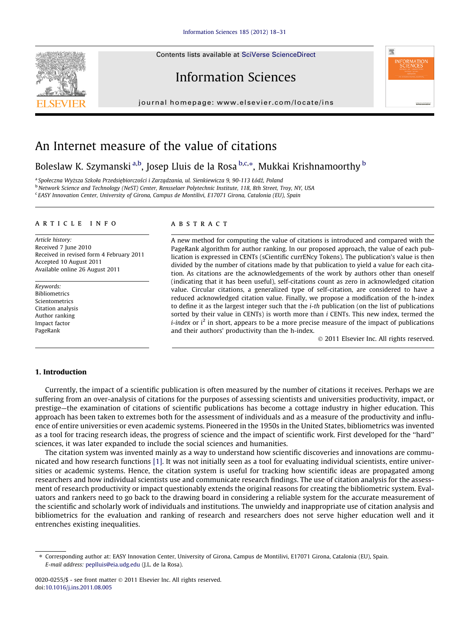Contents lists available at [SciVerse ScienceDirect](http://www.sciencedirect.com/science/journal/00200255)



# Information Sciences

journal homepage: [www.elsevier.com/locate/ins](http://www.elsevier.com/locate/ins)



## An Internet measure of the value of citations

### Boleslaw K. Szymanski <sup>a,b</sup>, Josep Lluis de la Rosa <sup>b,c,</sup>\*, Mukkai Krishnamoorthy <sup>b</sup>

<sup>a</sup> Społeczna Wyższa Szkoła Przedsiębiorczości i Zarządzania, ul. Sienkiewicza 9, 90-113 Łódź, Poland b Network Science and Technology (NeST) Center, Rensselaer Polytechnic Institute, 118, 8th Street, Troy, NY, USA <sup>c</sup> EASY Innovation Center, University of Girona, Campus de Montilivi, E17071 Girona, Catalonia (EU), Spain

#### article info

Article history: Received 7 June 2010 Received in revised form 4 February 2011 Accepted 10 August 2011 Available online 26 August 2011

Keywords: Bibliometrics Scientometrics Citation analysis Author ranking Impact factor PageRank

#### **ABSTRACT**

A new method for computing the value of citations is introduced and compared with the PageRank algorithm for author ranking. In our proposed approach, the value of each publication is expressed in CENTs (sCientific currENcy Tokens). The publication's value is then divided by the number of citations made by that publication to yield a value for each citation. As citations are the acknowledgements of the work by authors other than oneself (indicating that it has been useful), self-citations count as zero in acknowledged citation value. Circular citations, a generalized type of self-citation, are considered to have a reduced acknowledged citation value. Finally, we propose a modification of the h-index to define it as the largest integer such that the *i-th* publication (on the list of publications sorted by their value in CENTs) is worth more than *i* CENTs. This new index, termed the *i-index* or  $i^2$  in short, appears to be a more precise measure of the impact of publications and their authors' productivity than the h-index.

- 2011 Elsevier Inc. All rights reserved.

#### 1. Introduction

Currently, the impact of a scientific publication is often measured by the number of citations it receives. Perhaps we are suffering from an over-analysis of citations for the purposes of assessing scientists and universities productivity, impact, or prestige—the examination of citations of scientific publications has become a cottage industry in higher education. This approach has been taken to extremes both for the assessment of individuals and as a measure of the productivity and influence of entire universities or even academic systems. Pioneered in the 1950s in the United States, bibliometrics was invented as a tool for tracing research ideas, the progress of science and the impact of scientific work. First developed for the ''hard'' sciences, it was later expanded to include the social sciences and humanities.

The citation system was invented mainly as a way to understand how scientific discoveries and innovations are communicated and how research functions [\[1\].](#page--1-0) It was not initially seen as a tool for evaluating individual scientists, entire universities or academic systems. Hence, the citation system is useful for tracking how scientific ideas are propagated among researchers and how individual scientists use and communicate research findings. The use of citation analysis for the assessment of research productivity or impact questionably extends the original reasons for creating the bibliometric system. Evaluators and rankers need to go back to the drawing board in considering a reliable system for the accurate measurement of the scientific and scholarly work of individuals and institutions. The unwieldy and inappropriate use of citation analysis and bibliometrics for the evaluation and ranking of research and researchers does not serve higher education well and it entrenches existing inequalities.

<sup>⇑</sup> Corresponding author at: EASY Innovation Center, University of Girona, Campus de Montilivi, E17071 Girona, Catalonia (EU), Spain. E-mail address: [peplluis@eia.udg.edu](mailto:peplluis@eia.udg.edu) (J.L. de la Rosa).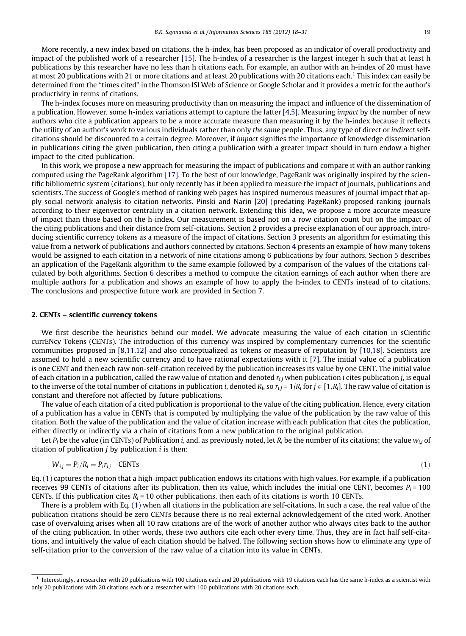More recently, a new index based on citations, the h-index, has been proposed as an indicator of overall productivity and impact of the published work of a researcher [\[15\].](#page--1-0) The h-index of a researcher is the largest integer h such that at least h publications by this researcher have no less than h citations each. For example, an author with an h-index of 20 must have at most 20 publications with 21 or more citations and at least 20 publications with 20 citations each.<sup>1</sup> This index can easily be determined from the ''times cited'' in the Thomson ISI Web of Science or Google Scholar and it provides a metric for the author's productivity in terms of citations.

The h-index focuses more on measuring productivity than on measuring the impact and influence of the dissemination of a publication. However, some h-index variations attempt to capture the latter  $[4,5]$ . Measuring *impact* by the number of *new* authors who cite a publication appears to be a more accurate measure than measuring it by the h-index because it reflects the utility of an author's work to various individuals rather than only the same people. Thus, any type of direct or indirect selfcitations should be discounted to a certain degree. Moreover, if impact signifies the importance of knowledge dissemination in publications citing the given publication, then citing a publication with a greater impact should in turn endow a higher impact to the cited publication.

In this work, we propose a new approach for measuring the impact of publications and compare it with an author ranking computed using the PageRank algorithm [\[17\]](#page--1-0). To the best of our knowledge, PageRank was originally inspired by the scientific bibliometric system (citations), but only recently has it been applied to measure the impact of journals, publications and scientists. The success of Google's method of ranking web pages has inspired numerous measures of journal impact that apply social network analysis to citation networks. Pinski and Narin [\[20\]](#page--1-0) (predating PageRank) proposed ranking journals according to their eigenvector centrality in a citation network. Extending this idea, we propose a more accurate measure of impact than those based on the h-index. Our measurement is based not on a row citation count but on the impact of the citing publications and their distance from self-citations. Section 2 provides a precise explanation of our approach, introducing scientific currency tokens as a measure of the impact of citations. Section 3 presents an algorithm for estimating this value from a network of publications and authors connected by citations. Section 4 presents an example of how many tokens would be assigned to each citation in a network of nine citations among 6 publications by four authors. Section 5 describes an application of the PageRank algorithm to the same example followed by a comparison of the values of the citations calculated by both algorithms. Section 6 describes a method to compute the citation earnings of each author when there are multiple authors for a publication and shows an example of how to apply the h-index to CENTs instead of to citations. The conclusions and prospective future work are provided in Section 7.

#### 2. CENTs – scientific currency tokens

We first describe the heuristics behind our model. We advocate measuring the value of each citation in sCientific currENcy Tokens (CENTs). The introduction of this currency was inspired by complementary currencies for the scientific communities proposed in [\[8,11,12\]](#page--1-0) and also conceptualized as tokens or measure of reputation by [\[10,18\]](#page--1-0). Scientists are assumed to hold a new scientific currency and to have rational expectations with it [\[7\]](#page--1-0). The initial value of a publication is one CENT and then each raw non-self-citation received by the publication increases its value by one CENT. The initial value of each citation in a publication, called the raw value of citation and denoted  $r_{i,j}$  when publication *i* cites publication *j*, is equal to the inverse of the total number of citations in publication *i*, denoted  $R_i$ , so  $r_{i,j} = 1/R_i$  for  $j \in [1,R_i]$ . The raw value of citation is constant and therefore not affected by future publications.

The value of each citation of a cited publication is proportional to the value of the citing publication. Hence, every citation of a publication has a value in CENTs that is computed by multiplying the value of the publication by the raw value of this citation. Both the value of the publication and the value of citation increase with each publication that cites the publication, either directly or indirectly via a chain of citations from a new publication to the original publication.

Let  $P_i$  be the value (in CENTs) of Publication i, and, as previously noted, let  $R_i$  be the number of its citations; the value  $w_{i,j}$  of citation of publication  $j$  by publication  $i$  is then:

$$
W_{ij} = P_i / R_i = P_i r_{ij} \quad \text{CENTs} \tag{1}
$$

Eq. (1) captures the notion that a high-impact publication endows its citations with high values. For example, if a publication receives 99 CENTs of citations after its publication, then its value, which includes the initial one CENT, becomes  $P_i = 100$ CENTs. If this publication cites  $R_i = 10$  other publications, then each of its citations is worth 10 CENTs.

There is a problem with Eq. (1) when all citations in the publication are self-citations. In such a case, the real value of the publication citations should be zero CENTs because there is no real external acknowledgement of the cited work. Another case of overvaluing arises when all 10 raw citations are of the work of another author who always cites back to the author of the citing publication. In other words, these two authors cite each other every time. Thus, they are in fact half self-citations, and intuitively the value of each citation should be halved. The following section shows how to eliminate any type of self-citation prior to the conversion of the raw value of a citation into its value in CENTs.

<sup>&</sup>lt;sup>1</sup> Interestingly, a researcher with 20 publications with 100 citations each and 20 publications with 19 citations each has the same h-index as a scientist with only 20 publications with 20 citations each or a researcher with 100 publications with 20 citations each.